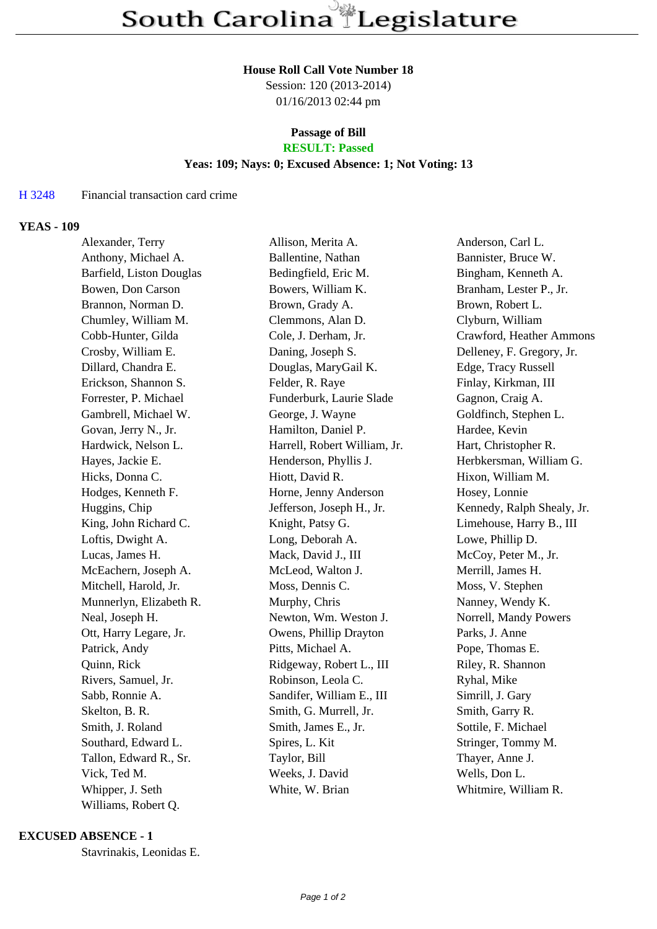# **House Roll Call Vote Number 18**

Session: 120 (2013-2014) 01/16/2013 02:44 pm

## **Passage of Bill RESULT: Passed**

#### **Yeas: 109; Nays: 0; Excused Absence: 1; Not Voting: 13**

## H 3248 Financial transaction card crime

## **YEAS - 109**

| Alexander, Terry         | Allison, Merita A.           | Anderson, Carl L.          |
|--------------------------|------------------------------|----------------------------|
| Anthony, Michael A.      | Ballentine, Nathan           | Bannister, Bruce W.        |
| Barfield, Liston Douglas | Bedingfield, Eric M.         | Bingham, Kenneth A.        |
| Bowen, Don Carson        | Bowers, William K.           | Branham, Lester P., Jr.    |
| Brannon, Norman D.       | Brown, Grady A.              | Brown, Robert L.           |
| Chumley, William M.      | Clemmons, Alan D.            | Clyburn, William           |
| Cobb-Hunter, Gilda       | Cole, J. Derham, Jr.         | Crawford, Heather Ammons   |
| Crosby, William E.       | Daning, Joseph S.            | Delleney, F. Gregory, Jr.  |
| Dillard, Chandra E.      | Douglas, MaryGail K.         | Edge, Tracy Russell        |
| Erickson, Shannon S.     | Felder, R. Raye              | Finlay, Kirkman, III       |
| Forrester, P. Michael    | Funderburk, Laurie Slade     | Gagnon, Craig A.           |
| Gambrell, Michael W.     | George, J. Wayne             | Goldfinch, Stephen L.      |
| Govan, Jerry N., Jr.     | Hamilton, Daniel P.          | Hardee, Kevin              |
| Hardwick, Nelson L.      | Harrell, Robert William, Jr. | Hart, Christopher R.       |
| Hayes, Jackie E.         | Henderson, Phyllis J.        | Herbkersman, William G.    |
| Hicks, Donna C.          | Hiott, David R.              | Hixon, William M.          |
| Hodges, Kenneth F.       | Horne, Jenny Anderson        | Hosey, Lonnie              |
| Huggins, Chip            | Jefferson, Joseph H., Jr.    | Kennedy, Ralph Shealy, Jr. |
| King, John Richard C.    | Knight, Patsy G.             | Limehouse, Harry B., III   |
| Loftis, Dwight A.        | Long, Deborah A.             | Lowe, Phillip D.           |
| Lucas, James H.          | Mack, David J., III          | McCoy, Peter M., Jr.       |
| McEachern, Joseph A.     | McLeod, Walton J.            | Merrill, James H.          |
| Mitchell, Harold, Jr.    | Moss, Dennis C.              | Moss, V. Stephen           |
| Munnerlyn, Elizabeth R.  | Murphy, Chris                | Nanney, Wendy K.           |
| Neal, Joseph H.          | Newton, Wm. Weston J.        | Norrell, Mandy Powers      |
| Ott, Harry Legare, Jr.   | Owens, Phillip Drayton       | Parks, J. Anne             |
| Patrick, Andy            | Pitts, Michael A.            | Pope, Thomas E.            |
| Quinn, Rick              | Ridgeway, Robert L., III     | Riley, R. Shannon          |
| Rivers, Samuel, Jr.      | Robinson, Leola C.           | Ryhal, Mike                |
| Sabb, Ronnie A.          | Sandifer, William E., III    | Simrill, J. Gary           |
| Skelton, B. R.           | Smith, G. Murrell, Jr.       | Smith, Garry R.            |
| Smith, J. Roland         | Smith, James E., Jr.         | Sottile, F. Michael        |
| Southard, Edward L.      | Spires, L. Kit               | Stringer, Tommy M.         |
| Tallon, Edward R., Sr.   | Taylor, Bill                 | Thayer, Anne J.            |
| Vick, Ted M.             | Weeks, J. David              | Wells, Don L.              |
| Whipper, J. Seth         | White, W. Brian              | Whitmire, William R.       |
| Williams, Robert Q.      |                              |                            |

## **EXCUSED ABSENCE - 1**

Stavrinakis, Leonidas E.